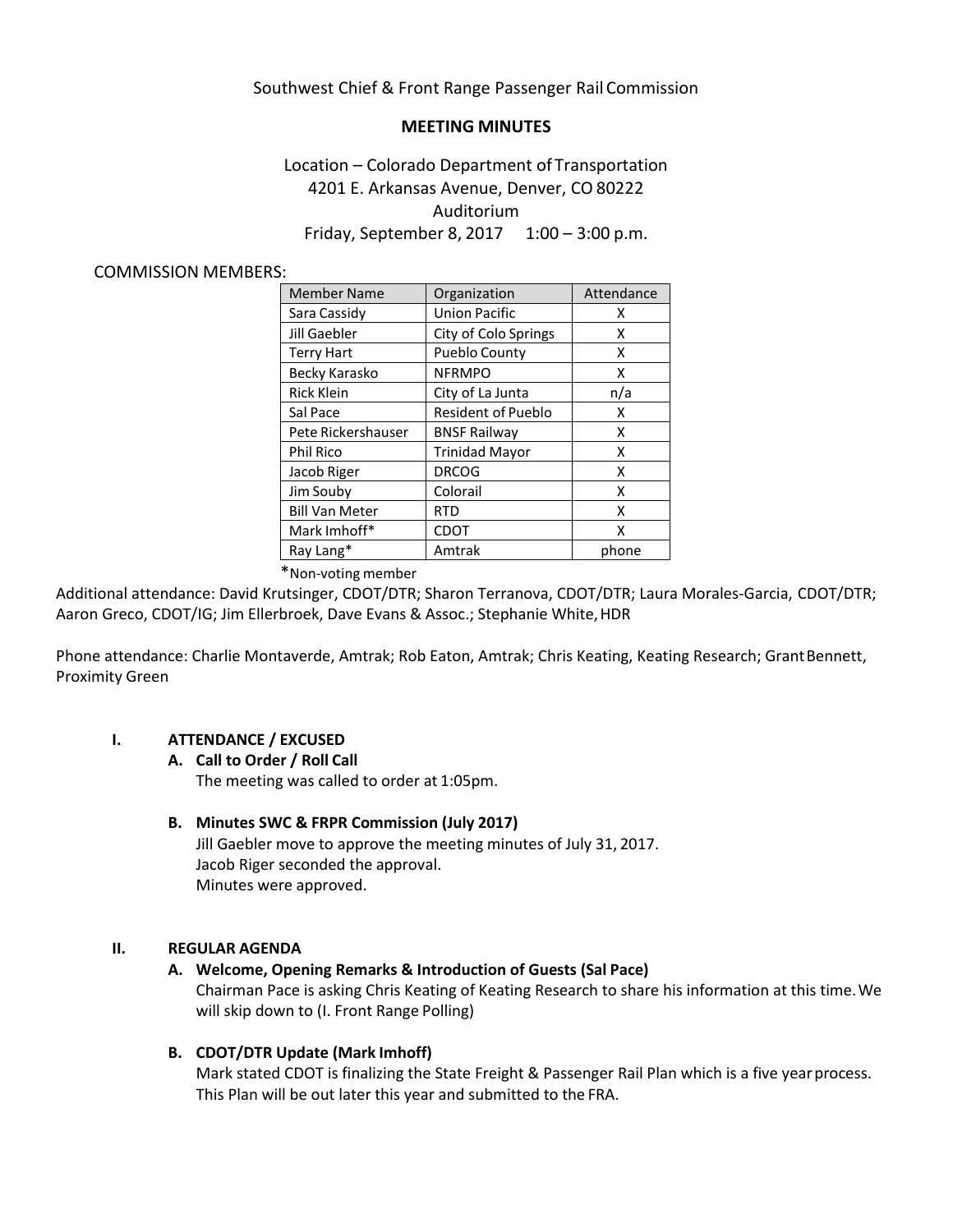# Southwest Chief & Front Range Passenger Rail Commission

# **MEETING MINUTES**

# Location – Colorado Department of Transportation 4201 E. Arkansas Avenue, Denver, CO 80222 Auditorium Friday, September 8, 2017 1:00 – 3:00 p.m.

#### COMMISSION MEMBERS:

| <b>Member Name</b>    | Organization              | Attendance |
|-----------------------|---------------------------|------------|
| Sara Cassidy          | <b>Union Pacific</b>      | x          |
| Jill Gaebler          | City of Colo Springs      | Χ          |
| <b>Terry Hart</b>     | <b>Pueblo County</b>      | x          |
| Becky Karasko         | <b>NFRMPO</b>             | x          |
| <b>Rick Klein</b>     | City of La Junta          | n/a        |
| Sal Pace              | <b>Resident of Pueblo</b> | x          |
| Pete Rickershauser    | <b>BNSF Railway</b>       | x          |
| <b>Phil Rico</b>      | <b>Trinidad Mayor</b>     | x          |
| Jacob Riger           | <b>DRCOG</b>              | x          |
| Jim Souby             | Colorail                  | x          |
| <b>Bill Van Meter</b> | RTD                       | x          |
| Mark Imhoff*          | <b>CDOT</b>               | x          |
| Ray Lang*             | Amtrak                    | phone      |

\*Non-voting member

Additional attendance: David Krutsinger, CDOT/DTR; Sharon Terranova, CDOT/DTR; Laura Morales-Garcia, CDOT/DTR; Aaron Greco, CDOT/IG; Jim Ellerbroek, Dave Evans & Assoc.; Stephanie White, HDR

Phone attendance: Charlie Montaverde, Amtrak; Rob Eaton, Amtrak; Chris Keating, Keating Research; GrantBennett, Proximity Green

## **I. ATTENDANCE / EXCUSED**

#### **A. Call to Order / Roll Call**

The meeting was called to order at 1:05pm.

## **B. Minutes SWC & FRPR Commission (July 2017)**

Jill Gaebler move to approve the meeting minutes of July 31, 2017. Jacob Riger seconded the approval. Minutes were approved.

## **II. REGULAR AGENDA**

## **A. Welcome, Opening Remarks & Introduction of Guests (Sal Pace)**

Chairman Pace is asking Chris Keating of Keating Research to share his information at this time.We will skip down to (I. Front Range Polling)

## **B. CDOT/DTR Update (Mark Imhoff)**

Mark stated CDOT is finalizing the State Freight & Passenger Rail Plan which is a five yearprocess. This Plan will be out later this year and submitted to the FRA.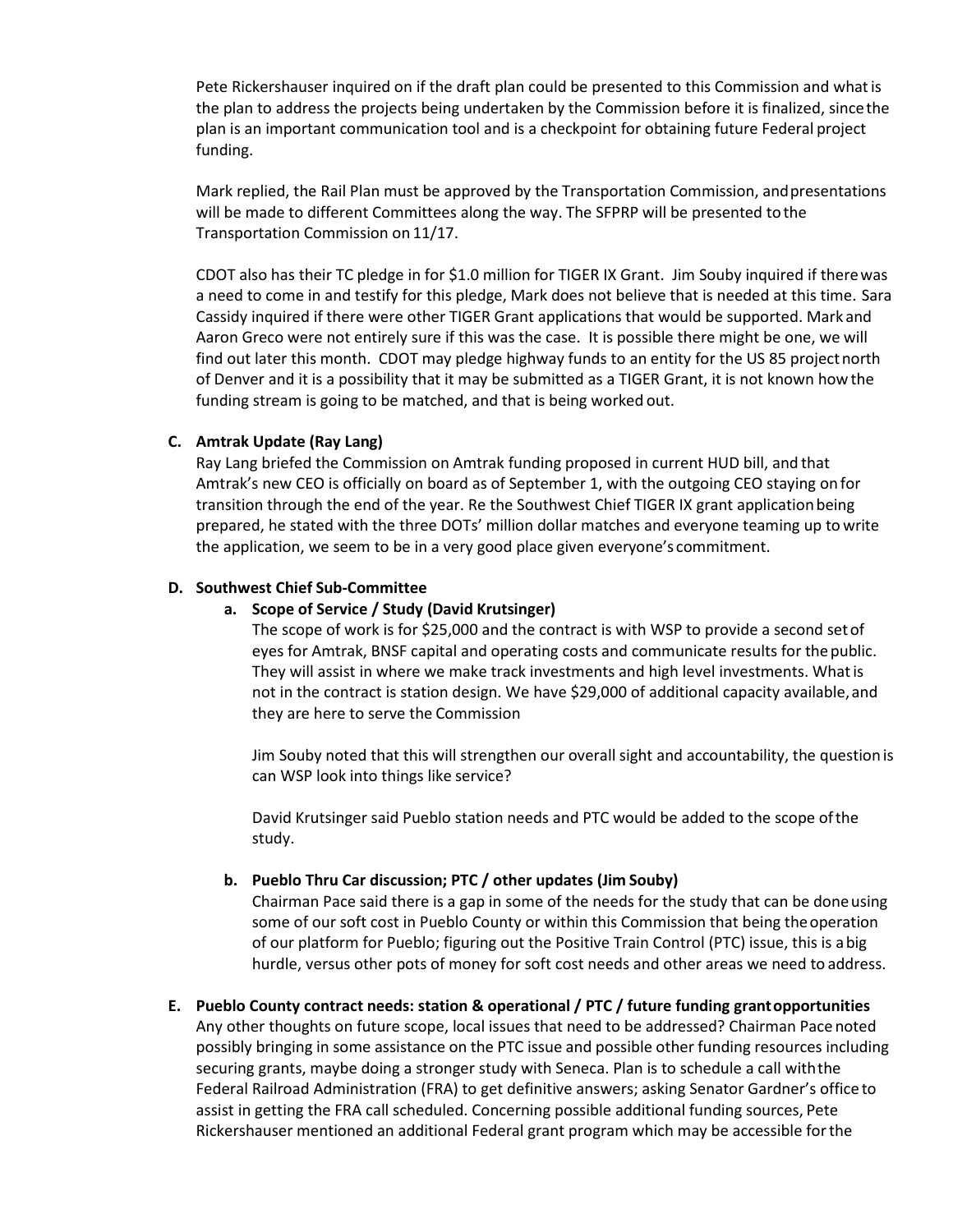Pete Rickershauser inquired on if the draft plan could be presented to this Commission and whatis the plan to address the projects being undertaken by the Commission before it is finalized, sincethe plan is an important communication tool and is a checkpoint for obtaining future Federal project funding.

Mark replied, the Rail Plan must be approved by the Transportation Commission, andpresentations will be made to different Committees along the way. The SFPRP will be presented tothe Transportation Commission on 11/17.

CDOT also has their TC pledge in for \$1.0 million for TIGER IX Grant. Jim Souby inquired if therewas a need to come in and testify for this pledge, Mark does not believe that is needed at this time. Sara Cassidy inquired if there were other TIGER Grant applications that would be supported. Mark and Aaron Greco were not entirely sure if this was the case. It is possible there might be one, we will find out later this month. CDOT may pledge highway funds to an entity for the US 85 projectnorth of Denver and it is a possibility that it may be submitted as a TIGER Grant, it is not known how the funding stream is going to be matched, and that is being worked out.

## **C. Amtrak Update (Ray Lang)**

Ray Lang briefed the Commission on Amtrak funding proposed in current HUD bill, and that Amtrak's new CEO is officially on board as of September 1, with the outgoing CEO staying on for transition through the end of the year. Re the Southwest Chief TIGER IX grant applicationbeing prepared, he stated with the three DOTs' million dollar matches and everyone teaming up to write the application, we seem to be in a very good place given everyone's commitment.

# **D. Southwest Chief Sub-Committee**

## **a. Scope of Service / Study (David Krutsinger)**

The scope of work is for \$25,000 and the contract is with WSP to provide a second setof eyes for Amtrak, BNSF capital and operating costs and communicate results for thepublic. They will assist in where we make track investments and high level investments. Whatis not in the contract is station design. We have \$29,000 of additional capacity available, and they are here to serve the Commission

Jim Souby noted that this will strengthen our overall sight and accountability, the questionis can WSP look into things like service?

David Krutsinger said Pueblo station needs and PTC would be added to the scope ofthe study.

## **b. Pueblo Thru Car discussion; PTC / other updates (Jim Souby)**

Chairman Pace said there is a gap in some of the needs for the study that can be doneusing some of our soft cost in Pueblo County or within this Commission that being the operation of our platform for Pueblo; figuring out the Positive Train Control (PTC) issue, this is abig hurdle, versus other pots of money for soft cost needs and other areas we need to address.

## **E. Pueblo County contract needs: station & operational / PTC / future funding grantopportunities**

Any other thoughts on future scope, local issues that need to be addressed? Chairman Pace noted possibly bringing in some assistance on the PTC issue and possible other funding resources including securing grants, maybe doing a stronger study with Seneca. Plan is to schedule a call withthe Federal Railroad Administration (FRA) to get definitive answers; asking Senator Gardner's office to assist in getting the FRA call scheduled. Concerning possible additional funding sources, Pete Rickershauser mentioned an additional Federal grant program which may be accessible forthe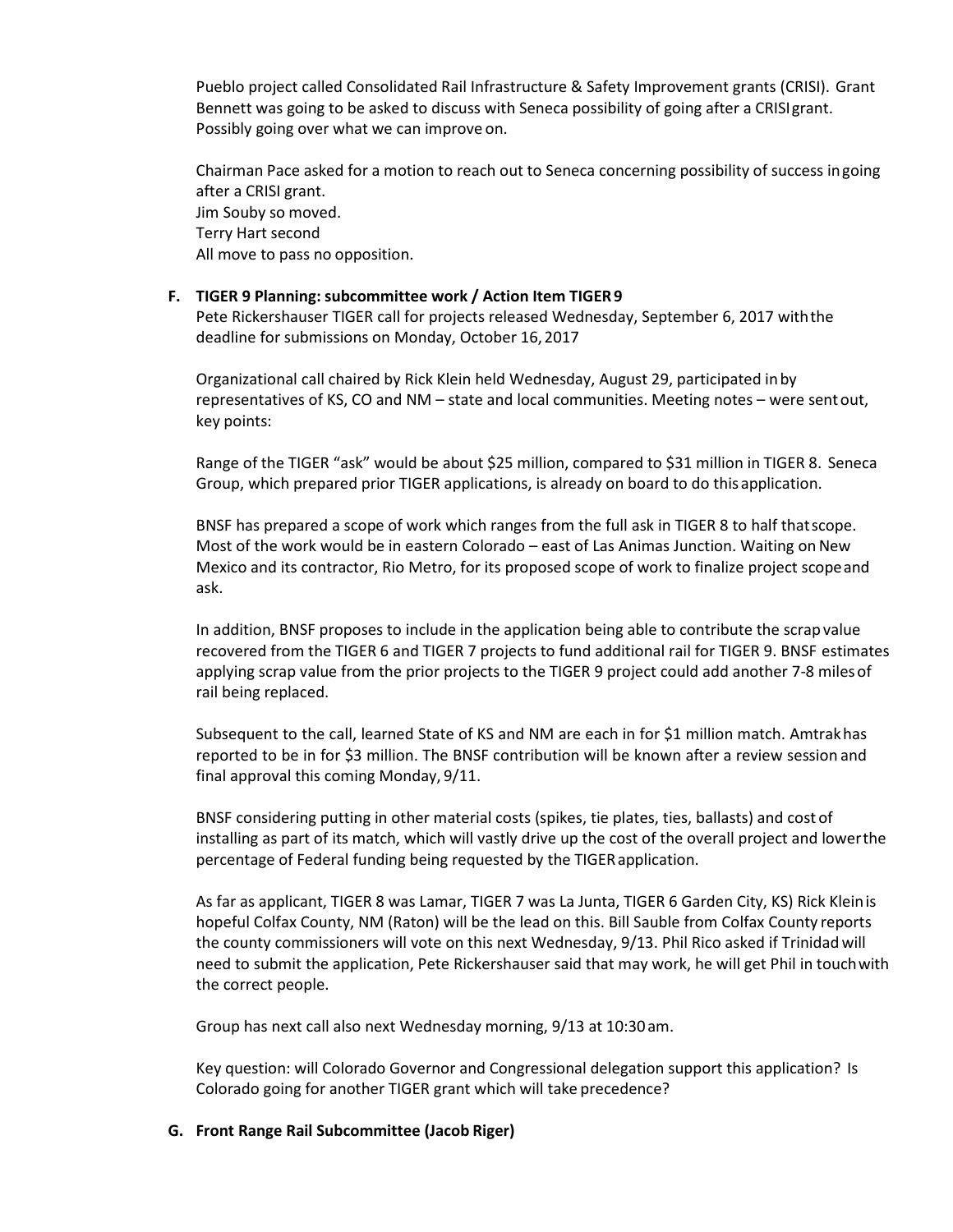Pueblo project called Consolidated Rail Infrastructure & Safety Improvement grants (CRISI). Grant Bennett was going to be asked to discuss with Seneca possibility of going after a CRISIgrant. Possibly going over what we can improve on.

Chairman Pace asked for a motion to reach out to Seneca concerning possibility of success ingoing after a CRISI grant. Jim Souby so moved. Terry Hart second All move to pass no opposition.

### **F. TIGER 9 Planning: subcommittee work / Action Item TIGER9**

Pete Rickershauser TIGER call for projects released Wednesday, September 6, 2017 withthe deadline for submissions on Monday, October 16,2017

Organizational call chaired by Rick Klein held Wednesday, August 29, participated inby representatives of KS, CO and NM – state and local communities. Meeting notes – were sentout, key points:

Range of the TIGER "ask" would be about \$25 million, compared to \$31 million in TIGER 8. Seneca Group, which prepared prior TIGER applications, is already on board to do this application.

BNSF has prepared a scope of work which ranges from the full ask in TIGER 8 to half thatscope. Most of the work would be in eastern Colorado – east of Las Animas Junction. Waiting on New Mexico and its contractor, Rio Metro, for its proposed scope of work to finalize project scopeand ask.

In addition, BNSF proposes to include in the application being able to contribute the scrapvalue recovered from the TIGER 6 and TIGER 7 projects to fund additional rail for TIGER 9. BNSF estimates applying scrap value from the prior projects to the TIGER 9 project could add another 7-8 milesof rail being replaced.

Subsequent to the call, learned State of KS and NM are each in for \$1 million match. Amtrakhas reported to be in for \$3 million. The BNSF contribution will be known after a review session and final approval this coming Monday, 9/11.

BNSF considering putting in other material costs (spikes, tie plates, ties, ballasts) and cost of installing as part of its match, which will vastly drive up the cost of the overall project and lowerthe percentage of Federal funding being requested by the TIGERapplication.

As far as applicant, TIGER 8 was Lamar, TIGER 7 was La Junta, TIGER 6 Garden City, KS) Rick Kleinis hopeful Colfax County, NM (Raton) will be the lead on this. Bill Sauble from Colfax County reports the county commissioners will vote on this next Wednesday, 9/13. Phil Rico asked if Trinidadwill need to submit the application, Pete Rickershauser said that may work, he will get Phil in touchwith the correct people.

Group has next call also next Wednesday morning, 9/13 at 10:30 am.

Key question: will Colorado Governor and Congressional delegation support this application? Is Colorado going for another TIGER grant which will take precedence?

#### **G. Front Range Rail Subcommittee (Jacob Riger)**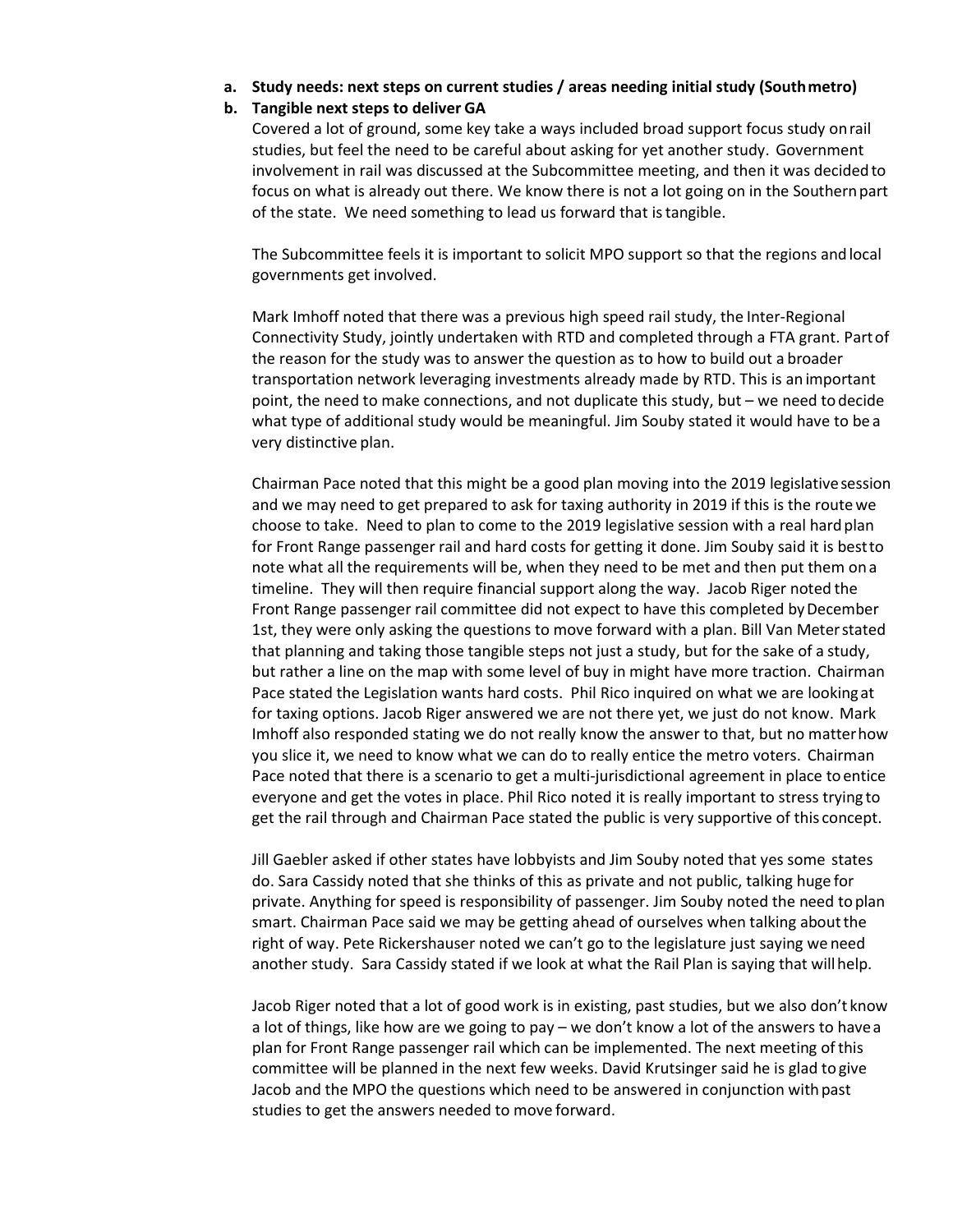#### **a. Study needs: next steps on current studies / areas needing initial study (Southmetro)**

### **b. Tangible next steps to deliver GA**

Covered a lot of ground, some key take a ways included broad support focus study onrail studies, but feel the need to be careful about asking for yet another study. Government involvement in rail was discussed at the Subcommittee meeting, and then it was decidedto focus on what is already out there. We know there is not a lot going on in the Southernpart of the state. We need something to lead us forward that istangible.

The Subcommittee feels it is important to solicit MPO support so that the regions andlocal governments get involved.

Mark Imhoff noted that there was a previous high speed rail study, the Inter-Regional Connectivity Study, jointly undertaken with RTD and completed through a FTA grant. Partof the reason for the study was to answer the question as to how to build out a broader transportation network leveraging investments already made by RTD. This is an important point, the need to make connections, and not duplicate this study, but – we need todecide what type of additional study would be meaningful. Jim Souby stated it would have to be a very distinctive plan.

Chairman Pace noted that this might be a good plan moving into the 2019 legislativesession and we may need to get prepared to ask for taxing authority in 2019 if this is the routewe choose to take. Need to plan to come to the 2019 legislative session with a real hard plan for Front Range passenger rail and hard costs for getting it done. Jim Souby said it is bestto note what all the requirements will be, when they need to be met and then put them ona timeline. They will then require financial support along the way. Jacob Riger noted the Front Range passenger rail committee did not expect to have this completed by December 1st, they were only asking the questions to move forward with a plan. Bill Van Meterstated that planning and taking those tangible steps not just a study, but for the sake of a study, but rather a line on the map with some level of buy in might have more traction. Chairman Pace stated the Legislation wants hard costs. Phil Rico inquired on what we are lookingat for taxing options. Jacob Riger answered we are not there yet, we just do not know. Mark Imhoff also responded stating we do not really know the answer to that, but no matterhow you slice it, we need to know what we can do to really entice the metro voters. Chairman Pace noted that there is a scenario to get a multi-jurisdictional agreement in place toentice everyone and get the votes in place. Phil Rico noted it is really important to stress trying to get the rail through and Chairman Pace stated the public is very supportive of this concept.

Jill Gaebler asked if other states have lobbyists and Jim Souby noted that yes some states do. Sara Cassidy noted that she thinks of this as private and not public, talking huge for private. Anything for speed is responsibility of passenger. Jim Souby noted the need toplan smart. Chairman Pace said we may be getting ahead of ourselves when talking aboutthe right of way. Pete Rickershauser noted we can't go to the legislature just saying we need another study. Sara Cassidy stated if we look at what the Rail Plan is saying that willhelp.

Jacob Riger noted that a lot of good work is in existing, past studies, but we also don't know a lot of things, like how are we going to pay – we don't know a lot of the answers to havea plan for Front Range passenger rail which can be implemented. The next meeting ofthis committee will be planned in the next few weeks. David Krutsinger said he is glad to give Jacob and the MPO the questions which need to be answered in conjunction withpast studies to get the answers needed to move forward.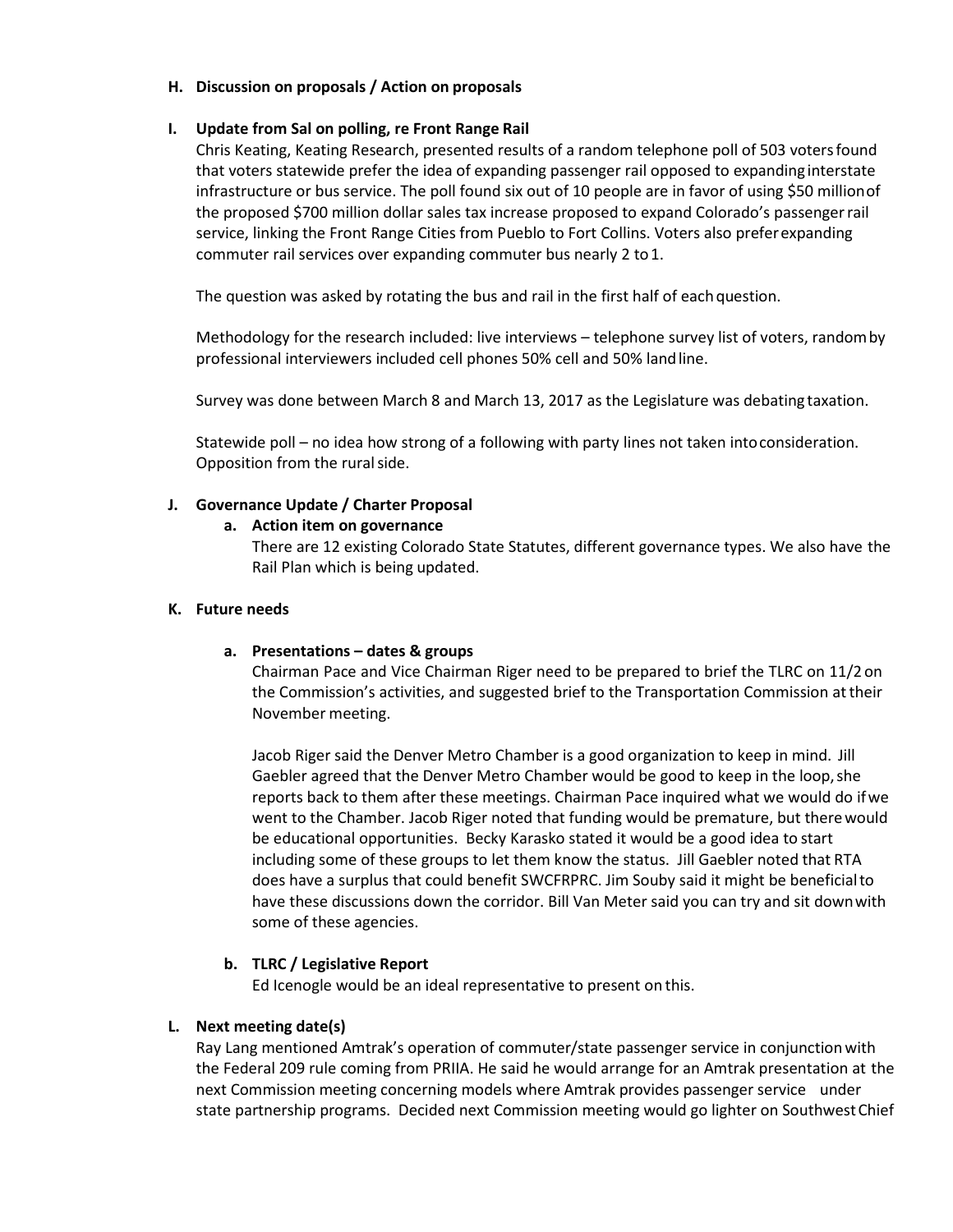### **H. Discussion on proposals / Action on proposals**

## **I. Update from Sal on polling, re Front Range Rail**

Chris Keating, Keating Research, presented results of a random telephone poll of 503 votersfound that voters statewide prefer the idea of expanding passenger rail opposed to expanding interstate infrastructure or bus service. The poll found six out of 10 people are in favor of using \$50 millionof the proposed \$700 million dollar sales tax increase proposed to expand Colorado's passengerrail service, linking the Front Range Cities from Pueblo to Fort Collins. Voters also preferexpanding commuter rail services over expanding commuter bus nearly 2 to1.

The question was asked by rotating the bus and rail in the first half of each question.

Methodology for the research included: live interviews – telephone survey list of voters, randomby professional interviewers included cell phones 50% cell and 50% landline.

Survey was done between March 8 and March 13, 2017 as the Legislature was debating taxation.

Statewide poll – no idea how strong of a following with party lines not taken intoconsideration. Opposition from the rural side.

## **J. Governance Update / Charter Proposal**

## **a. Action item on governance**

There are 12 existing Colorado State Statutes, different governance types. We also have the Rail Plan which is being updated.

## **K. Future needs**

## **a. Presentations – dates & groups**

Chairman Pace and Vice Chairman Riger need to be prepared to brief the TLRC on 11/2 on the Commission's activities, and suggested brief to the Transportation Commission attheir November meeting.

Jacob Riger said the Denver Metro Chamber is a good organization to keep in mind. Jill Gaebler agreed that the Denver Metro Chamber would be good to keep in the loop, she reports back to them after these meetings. Chairman Pace inquired what we would do ifwe went to the Chamber. Jacob Riger noted that funding would be premature, but therewould be educational opportunities. Becky Karasko stated it would be a good idea to start including some of these groups to let them know the status. Jill Gaebler noted that RTA does have a surplus that could benefit SWCFRPRC. Jim Souby said it might be beneficialto have these discussions down the corridor. Bill Van Meter said you can try and sit downwith some of these agencies.

# **b. TLRC / Legislative Report**

Ed Icenogle would be an ideal representative to present on this.

# **L. Next meeting date(s)**

Ray Lang mentioned Amtrak's operation of commuter/state passenger service in conjunctionwith the Federal 209 rule coming from PRIIA. He said he would arrange for an Amtrak presentation at the next Commission meeting concerning models where Amtrak provides passenger service under state partnership programs. Decided next Commission meeting would go lighter on SouthwestChief